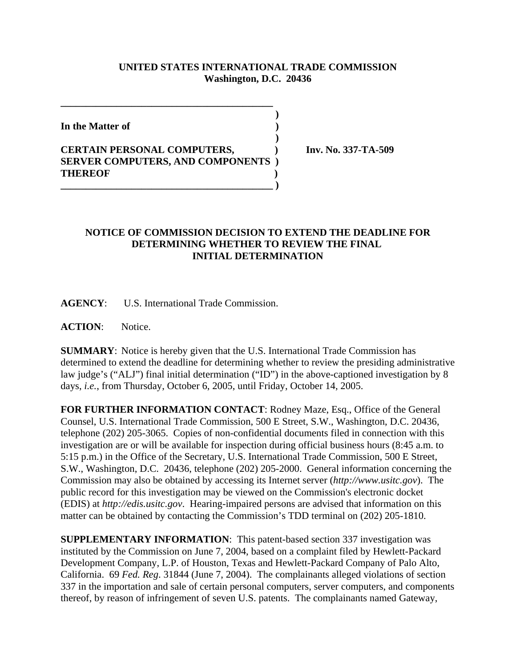## **UNITED STATES INTERNATIONAL TRADE COMMISSION Washington, D.C. 20436**

 **)**

 **)**

**In the Matter of )**

## **CERTAIN PERSONAL COMPUTERS, ) Inv. No. 337-TA-509 SERVER COMPUTERS, AND COMPONENTS ) THEREOF ) \_\_\_\_\_\_\_\_\_\_\_\_\_\_\_\_\_\_\_\_\_\_\_\_\_\_\_\_\_\_\_\_\_\_\_\_\_\_\_\_\_\_ )**

**\_\_\_\_\_\_\_\_\_\_\_\_\_\_\_\_\_\_\_\_\_\_\_\_\_\_\_\_\_\_\_\_\_\_\_\_\_\_\_\_\_\_**

## **NOTICE OF COMMISSION DECISION TO EXTEND THE DEADLINE FOR DETERMINING WHETHER TO REVIEW THE FINAL INITIAL DETERMINATION**

**AGENCY**: U.S. International Trade Commission.

**ACTION**: Notice.

**SUMMARY**: Notice is hereby given that the U.S. International Trade Commission has determined to extend the deadline for determining whether to review the presiding administrative law judge's ("ALJ") final initial determination ("ID") in the above-captioned investigation by 8 days, *i.e.*, from Thursday, October 6, 2005, until Friday, October 14, 2005.

**FOR FURTHER INFORMATION CONTACT**: Rodney Maze, Esq., Office of the General Counsel, U.S. International Trade Commission, 500 E Street, S.W., Washington, D.C. 20436, telephone (202) 205-3065. Copies of non-confidential documents filed in connection with this investigation are or will be available for inspection during official business hours (8:45 a.m. to 5:15 p.m.) in the Office of the Secretary, U.S. International Trade Commission, 500 E Street, S.W., Washington, D.C. 20436, telephone (202) 205-2000. General information concerning the Commission may also be obtained by accessing its Internet server (*http://www.usitc.gov*). The public record for this investigation may be viewed on the Commission's electronic docket (EDIS) at *http://edis.usitc.gov*. Hearing-impaired persons are advised that information on this matter can be obtained by contacting the Commission's TDD terminal on (202) 205-1810.

**SUPPLEMENTARY INFORMATION**: This patent-based section 337 investigation was instituted by the Commission on June 7, 2004, based on a complaint filed by Hewlett-Packard Development Company, L.P. of Houston, Texas and Hewlett-Packard Company of Palo Alto, California. 69 *Fed. Reg*. 31844 (June 7, 2004). The complainants alleged violations of section 337 in the importation and sale of certain personal computers, server computers, and components thereof, by reason of infringement of seven U.S. patents. The complainants named Gateway,